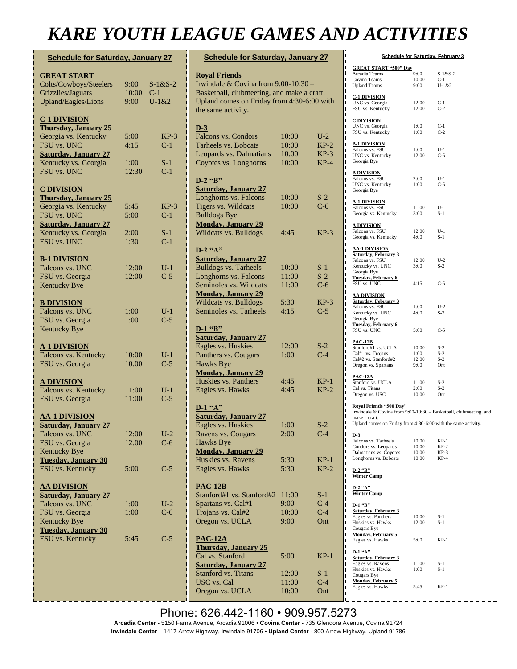## *KARE YOUTH LEAGUE GAMES AND ACTIVITIES*

| <b>Schedule for Saturday, January 27</b>            |                |                 |  |  |
|-----------------------------------------------------|----------------|-----------------|--|--|
| <b>GREAT START</b>                                  |                |                 |  |  |
| Colts/Cowboys/Steelers                              | 9:00           | $S-1&S-2$       |  |  |
| Grizzlies/Jaguars                                   | 10:00          | $C-1$           |  |  |
| <b>Upland/Eagles/Lions</b>                          | 9:00           | $U-1&2$         |  |  |
| <u>C-1 DIVISION</u>                                 |                |                 |  |  |
| <b>Thursday, January 25</b><br>Georgia vs. Kentucky | 5:00           | $KP-3$          |  |  |
| FSU vs. UNC                                         | 4:15           | $C-1$           |  |  |
| <b>Saturday, January 27</b>                         |                |                 |  |  |
| Kentucky vs. Georgia                                | 1:00           | $S-1$           |  |  |
| FSU vs. UNC                                         | 12:30          | $C-1$           |  |  |
| <u>C DIVISION</u>                                   |                |                 |  |  |
| <b>Thursday, January 25</b>                         |                |                 |  |  |
| Georgia vs. Kentucky<br>FSU vs. UNC                 | 5:45<br>5:00   | $KP-3$<br>$C-1$ |  |  |
| <b>Saturday, January 27</b>                         |                |                 |  |  |
| Kentucky vs. Georgia                                | 2:00           | $S-1$           |  |  |
| FSU vs. UNC                                         | 1:30           | $C-1$           |  |  |
| <b>B-1 DIVISION</b>                                 |                |                 |  |  |
| Falcons vs. UNC                                     | 12:00          | $U-1$           |  |  |
| FSU vs. Georgia                                     | 12:00          | $C-5$           |  |  |
| <b>Kentucky Bye</b>                                 |                |                 |  |  |
| <b>B DIVISION</b>                                   |                |                 |  |  |
| Falcons vs. UNC                                     | 1:00           | $U-1$           |  |  |
| FSU vs. Georgia<br><b>Kentucky Bye</b>              | 1:00           | $C-5$           |  |  |
|                                                     |                |                 |  |  |
| <b>A-1 DIVISION</b>                                 |                |                 |  |  |
| Falcons vs. Kentucky<br>FSU vs. Georgia             | 10:00<br>10:00 | $U-1$<br>$C-5$  |  |  |
|                                                     |                |                 |  |  |
| <b>A DIVISION</b>                                   |                |                 |  |  |
| Falcons vs. Kentucky<br>FSU vs. Georgia             | 11:00<br>11:00 | $U-1$<br>$C-5$  |  |  |
|                                                     |                |                 |  |  |
| <u>AA-1 DIVISION</u>                                |                |                 |  |  |
| <b>Saturday, January 27</b>                         |                |                 |  |  |
| Falcons vs. UNC<br>FSU vs. Georgia                  | 12:00<br>12:00 | $U-2$<br>$C-6$  |  |  |
| Kentucky Bye                                        |                |                 |  |  |
| <b>Tuesday, January 30</b>                          |                |                 |  |  |
| FSU vs. Kentucky                                    | 5:00           | C-5             |  |  |
| <u>AA DIVISION</u>                                  |                |                 |  |  |
| <b>Saturday, January 27</b>                         |                |                 |  |  |
| Falcons vs. UNC                                     | 1:00           | $U-2$           |  |  |
| FSU vs. Georgia                                     | 1:00           | $C-6$           |  |  |
| Kentucky Bye<br><b>Tuesday, January 30</b>          |                |                 |  |  |
| FSU vs. Kentucky                                    | 5:45           | C-5             |  |  |
|                                                     |                |                 |  |  |
|                                                     |                |                 |  |  |
|                                                     |                |                 |  |  |
|                                                     |                |                 |  |  |
|                                                     |                |                 |  |  |

| <b>Schedule for Saturday, January 27</b>   |       |        |  |  |
|--------------------------------------------|-------|--------|--|--|
| <b>Royal Friends</b>                       |       |        |  |  |
| Irwindale & Covina from 9:00-10:30 -       |       |        |  |  |
| Basketball, clubmeeting, and make a craft. |       |        |  |  |
| Upland comes on Friday from 4:30-6:00 with |       |        |  |  |
| the same activity.                         |       |        |  |  |
| $D-3$                                      |       |        |  |  |
| Falcons vs. Condors                        | 10:00 | $U-2$  |  |  |
| Tarheels vs. Bobcats                       | 10:00 | $KP-2$ |  |  |
| Leopards vs. Dalmatians                    | 10:00 | $KP-3$ |  |  |
| Coyotes vs. Longhorns                      | 10:00 | $KP-4$ |  |  |
|                                            |       |        |  |  |
| $D-2$ "B"<br><b>Saturday, January 27</b>   |       |        |  |  |
| Longhorns vs. Falcons                      | 10:00 | $S-2$  |  |  |
| Tigers vs. Wildcats                        | 10:00 | $C-6$  |  |  |
| <b>Bulldogs Bye</b>                        |       |        |  |  |
| <b>Monday, January 29</b>                  |       |        |  |  |
| Wildcats vs. Bulldogs                      | 4:45  | $KP-3$ |  |  |
|                                            |       |        |  |  |
| $D-2$ "A"                                  |       |        |  |  |
| <b>Saturday, January 27</b>                |       |        |  |  |
| Bulldogs vs. Tarheels                      | 10:00 | $S-1$  |  |  |
| Longhorns vs. Falcons                      | 11:00 | $S-2$  |  |  |
| Seminoles vs. Wildcats                     | 11:00 | $C-6$  |  |  |
| <b>Monday, January 29</b>                  |       |        |  |  |
| Wildcats vs. Bulldogs                      | 5:30  | $KP-3$ |  |  |
| Seminoles vs. Tarheels                     | 4:15  | $C-5$  |  |  |
| $D-1$ "B"                                  |       |        |  |  |
| <b>Saturday, January 27</b>                |       |        |  |  |
| Eagles vs. Huskies                         | 12:00 | $S-2$  |  |  |
| Panthers vs. Cougars                       | 1:00  | $C-4$  |  |  |
| Hawks Bye                                  |       |        |  |  |
| <b>Monday, January 29</b>                  |       |        |  |  |
| Huskies vs. Panthers                       | 4:45  | $KP-1$ |  |  |
| Eagles vs. Hawks                           | 4:45  | $KP-2$ |  |  |
| $D-1$ "A"                                  |       |        |  |  |
| <b>Saturday, January 27</b>                |       |        |  |  |
| Eagles vs. Huskies                         | 1:00  | $S-2$  |  |  |
| Ravens vs. Cougars                         | 2:00  | $C-4$  |  |  |
| Hawks Bye                                  |       |        |  |  |
| <b>Monday, January 29</b>                  |       |        |  |  |
| Huskies vs. Ravens                         | 5:30  | $KP-1$ |  |  |
| Eagles vs. Hawks                           | 5:30  | $KP-2$ |  |  |
|                                            |       |        |  |  |
| <b>PAC-12B</b>                             |       |        |  |  |
| Stanford#1 vs. Stanford#2                  | 11:00 | $S-1$  |  |  |
| Spartans vs. Cal#1                         | 9:00  | $C-4$  |  |  |
| Trojans vs. Cal#2                          | 10:00 | $C-4$  |  |  |
| Oregon vs. UCLA                            | 9:00  | Ont    |  |  |
| <b>PAC-12A</b>                             |       |        |  |  |
| <b>Thursday, January 25</b>                |       |        |  |  |
| Cal vs. Stanford                           | 5:00  | $KP-1$ |  |  |
| <b>Saturday, January 27</b>                |       |        |  |  |
| Stanford vs. Titans                        | 12:00 | $S-1$  |  |  |
| USC vs. Cal                                | 11:00 | $C-4$  |  |  |
| Oregon vs. UCLA                            | 10:00 | Ont    |  |  |

| ι<br>П                                                             |                | <b>Schedule for Saturday, February 3</b>                          |
|--------------------------------------------------------------------|----------------|-------------------------------------------------------------------|
| <b>GREAT START "500" Day</b><br>ı                                  |                |                                                                   |
| ı<br>Arcadia Teams                                                 | 9:00           | $S-1&S-2$                                                         |
| ı<br>Covina Teams<br>ı<br><b>Upland Teams</b>                      | 10:00<br>9:00  | $C-1$<br>$U-1&2$                                                  |
| Π                                                                  |                |                                                                   |
| ı<br><b>C-1 DIVISION</b>                                           |                |                                                                   |
| ı<br>UNC vs. Georgia<br>ı<br>FSU vs. Kentucky                      | 12:00<br>12:00 | $C-1$<br>$C-2$                                                    |
| ı                                                                  |                |                                                                   |
| ı<br><b>C DIVISION</b>                                             |                |                                                                   |
| UNC vs. Georgia<br>ı<br>FSU vs. Kentucky<br>ı                      | 1:00<br>1:00   | $C-1$<br>$C-2$                                                    |
| ı                                                                  |                |                                                                   |
| ı<br><b>B-1 DIVISION</b>                                           |                |                                                                   |
| Falcons vs. FSU<br>ı<br>UNC vs. Kentucky<br>ı                      | 1:00<br>12:00  | $U-1$<br>$C-5$                                                    |
| Georgia Bye<br>ı                                                   |                |                                                                   |
| ı<br><b>B DIVISION</b>                                             |                |                                                                   |
| ı<br>Falcons vs. FSU<br>ı                                          | 2:00           | $U-1$                                                             |
| UNC vs. Kentucky<br>ı                                              | 1:00           | $C-5$                                                             |
| Georgia Bye<br>Π                                                   |                |                                                                   |
| ı<br><u>A-1 DIVISION</u><br>ı                                      |                |                                                                   |
| Falcons vs. FSU<br>ı                                               | 11:00          | $U-1$                                                             |
| Georgia vs. Kentucky<br>ı                                          | 3:00           | $S-1$                                                             |
| ı<br><u>A DIVISION</u><br>ı                                        |                |                                                                   |
| Falcons vs. FSU<br>ı                                               | 12:00          | $U-1$                                                             |
| Georgia vs. Kentucky<br>ı                                          | 4:00           | S-1                                                               |
| ı<br><b>AA-1 DIVISION</b><br>ı                                     |                |                                                                   |
| Saturday, February 3<br>ı                                          |                | $U-2$                                                             |
| Falcons vs. FSU<br>ı<br>Kentucky vs. UNC                           | 12:00<br>3:00  | $S-2$                                                             |
| ı<br>Georgia Bye<br>ı                                              |                |                                                                   |
| <b>Tuesday, February 6</b><br>ı<br>FSU vs. UNC                     |                | $C-5$                                                             |
| ı                                                                  | 4:15           |                                                                   |
| ı<br><u>AA DIVISION</u><br>ı                                       |                |                                                                   |
| <b>Saturday, February 3</b><br>ı<br>Falcons vs. FSU                | 1:00           | $U-2$                                                             |
| ı<br>Kentucky vs. UNC                                              | 4:00           | $S-2$                                                             |
| ı<br>Georgia Bye<br>ı                                              |                |                                                                   |
| <b>Tuesday, February 6</b><br>ı<br>FSU vs. UNC                     | 5:00           | $C-5$                                                             |
| ı                                                                  |                |                                                                   |
| ı<br><b>PAC-12B</b><br>ī                                           |                |                                                                   |
| Stanford#1 vs. UCLA<br>ı<br>Cal#1 vs. Trojans                      | 10:00<br>1:00  | $S-2$<br>$S-2$                                                    |
| ı<br>Cal#2 vs. Stanford#2<br>ı                                     | 12:00          | $S-2$                                                             |
| Oregon vs. Spartans<br>ı                                           | 9:00           | Ont                                                               |
| ı<br><b>PAC-12A</b>                                                |                |                                                                   |
| ı<br>Stanford vs. UCLA<br>ı                                        | 11:00          | $S-2$                                                             |
| Cal vs. Titans<br>ı<br>Oregon vs. USC                              | 2:00<br>10:00  | $S-2$<br>Ont                                                      |
| ı                                                                  |                |                                                                   |
| ı<br>Royal Friends "500 Day"<br>ı                                  |                |                                                                   |
| ı<br>make a craft.                                                 |                | Irwindale & Covina from 9:00-10:30 - Basketball, clubmeeting, and |
| ı<br>Upland comes on Friday from 4:30-6:00 with the same activity. |                |                                                                   |
| I<br>ı                                                             |                |                                                                   |
| $D-3$<br>Π<br>Falcons vs. Tarheels                                 | 10:00          | $KP-1$                                                            |
| ı<br>Condors vs. Leopards                                          | 10:00          | $KP-2$                                                            |
| ı<br>Dalmatians vs. Coyotes<br>ı                                   | 10:00          | $KP-3$<br>$KP-4$                                                  |
| Longhorns vs. Bobcats<br>ı                                         | 10:00          |                                                                   |
| П<br>$D-2$ "B"                                                     |                |                                                                   |
| ı<br><b>Winter Camp</b><br>ı                                       |                |                                                                   |
| ı<br>D-2 "A"                                                       |                |                                                                   |
| ı<br><b>Winter Camp</b>                                            |                |                                                                   |
| ı<br>ı<br>D-1 "B"                                                  |                |                                                                   |
| ı<br><b>Saturday, February 3</b>                                   |                |                                                                   |
| ı<br>Eagles vs. Panthers<br>П<br>Huskies vs. Hawks                 | 10:00<br>12:00 | $S-1$<br>$S-1$                                                    |
| ı<br>Cougars Bye                                                   |                |                                                                   |
| ı<br><b>Monday, February 5</b>                                     |                |                                                                   |
| Eagles vs. Hawks<br>ı                                              | 5:00           | $KP-1$                                                            |
| ı<br>D-1 "A"<br>ı                                                  |                |                                                                   |
| <b>Saturday, February 3</b><br>ı                                   |                |                                                                   |
| Eagles vs. Ravens<br>ı<br>Huskies vs. Hawks<br>ı                   | 11:00<br>1:00  | $S-1$<br>$S-1$                                                    |
| Cougars Bye<br>ı                                                   |                |                                                                   |
| <b>Monday, February 5</b><br>ı                                     |                |                                                                   |
| Eagles vs. Hawks<br>П                                              | 5:45           | $KP-1$                                                            |

Phone: 626.442-1160 • 909.957.5273 **Arcadia Center** - 5150 Farna Avenue, Arcadia 91006 • **Covina Center** - 735 Glendora Avenue, Covina 91724 **Irwindale Center** – 1417 Arrow Highway, Irwindale 91706 • **Upland Center** - 800 Arrow Highway, Upland 91786